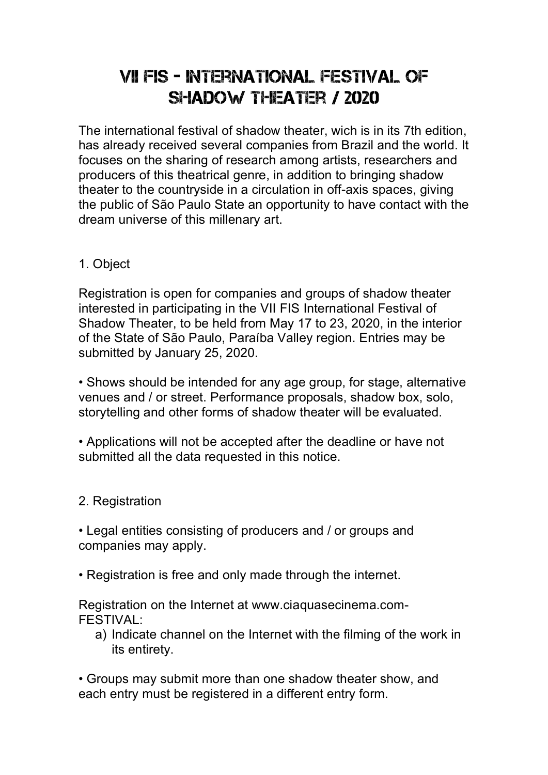## VII FIS - International Festival of SHADOW THEATER / 2020

The international festival of shadow theater, wich is in its 7th edition, has already received several companies from Brazil and the world. It focuses on the sharing of research among artists, researchers and producers of this theatrical genre, in addition to bringing shadow theater to the countryside in a circulation in off-axis spaces, giving the public of São Paulo State an opportunity to have contact with the dream universe of this millenary art.

## 1. Object

Registration is open for companies and groups of shadow theater interested in participating in the VII FIS International Festival of Shadow Theater, to be held from May 17 to 23, 2020, in the interior of the State of São Paulo, Paraíba Valley region. Entries may be submitted by January 25, 2020.

• Shows should be intended for any age group, for stage, alternative venues and / or street. Performance proposals, shadow box, solo, storytelling and other forms of shadow theater will be evaluated.

• Applications will not be accepted after the deadline or have not submitted all the data requested in this notice.

2. Registration

• Legal entities consisting of producers and / or groups and companies may apply.

• Registration is free and only made through the internet.

Registration on the Internet at www.ciaquasecinema.com-FESTIVAL:

a) Indicate channel on the Internet with the filming of the work in its entirety.

• Groups may submit more than one shadow theater show, and each entry must be registered in a different entry form.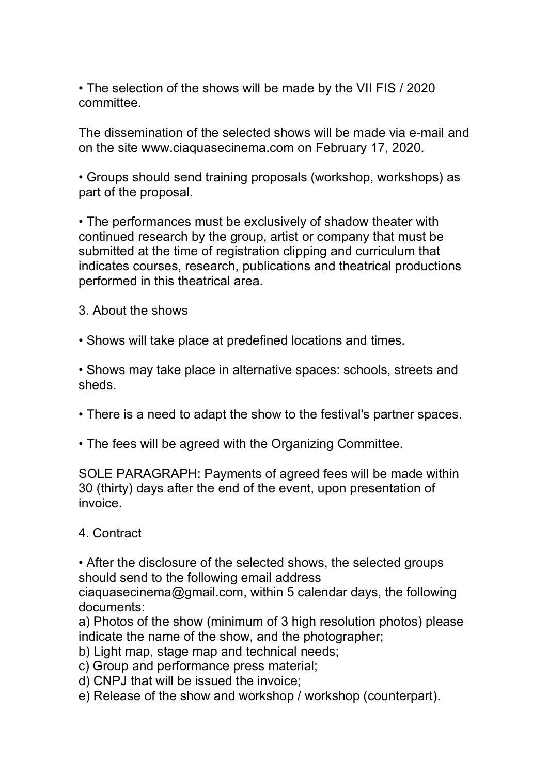• The selection of the shows will be made by the VII FIS / 2020 committee.

The dissemination of the selected shows will be made via e-mail and on the site www.ciaquasecinema.com on February 17, 2020.

• Groups should send training proposals (workshop, workshops) as part of the proposal.

• The performances must be exclusively of shadow theater with continued research by the group, artist or company that must be submitted at the time of registration clipping and curriculum that indicates courses, research, publications and theatrical productions performed in this theatrical area.

3. About the shows

• Shows will take place at predefined locations and times.

• Shows may take place in alternative spaces: schools, streets and sheds.

- There is a need to adapt the show to the festival's partner spaces.
- The fees will be agreed with the Organizing Committee.

SOLE PARAGRAPH: Payments of agreed fees will be made within 30 (thirty) days after the end of the event, upon presentation of invoice.

## 4. Contract

• After the disclosure of the selected shows, the selected groups should send to the following email address

ciaquasecinema@gmail.com, within 5 calendar days, the following documents:

a) Photos of the show (minimum of 3 high resolution photos) please indicate the name of the show, and the photographer;

b) Light map, stage map and technical needs;

c) Group and performance press material;

d) CNPJ that will be issued the invoice;

e) Release of the show and workshop / workshop (counterpart).